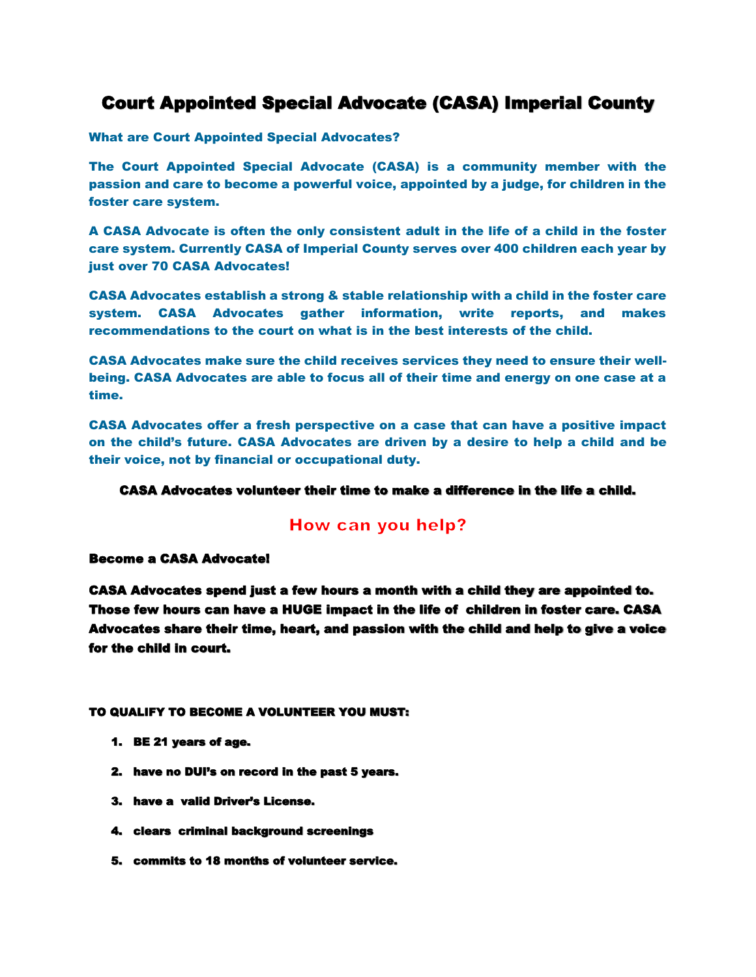## Court Appointed Special Advocate (CASA) Imperial County

What are Court Appointed Special Advocates?

The Court Appointed Special Advocate (CASA) is a community member with the passion and care to become a powerful voice, appointed by a judge, for children in the foster care system.

A CASA Advocate is often the only consistent adult in the life of a child in the foster care system. Currently CASA of Imperial County serves over 400 children each year by just over 70 CASA Advocates!

CASA Advocates establish a strong & stable relationship with a child in the foster care system. CASA Advocates gather information, write reports, and makes recommendations to the court on what is in the best interests of the child.

CASA Advocates make sure the child receives services they need to ensure their wellbeing. CASA Advocates are able to focus all of their time and energy on one case at a time.

CASA Advocates offer a fresh perspective on a case that can have a positive impact on the child's future. CASA Advocates are driven by a desire to help a child and be their voice, not by financial or occupational duty.

#### CASA Advocates volunteer their time to make a difference in the life a child.

### How can you help?

#### Become a CASA Advocate!

CASA Advocates spend just a few hours a month with a child they are appointed to. Those few hours can have a HUGE impact in the life of children in foster care. CASA Advocates share their time, heart, and passion with the child and help to give a voice for the child in court.

#### TO QUALIFY TO BECOME A VOLUNTEER YOU MUST:

- 1. BE 21 years of age.
- 2. have no DUI's on record in the past 5 years.
- 3. have a valid Driver's License.
- 4. clears criminal background screenings
- 5. commits to 18 months of volunteer service.